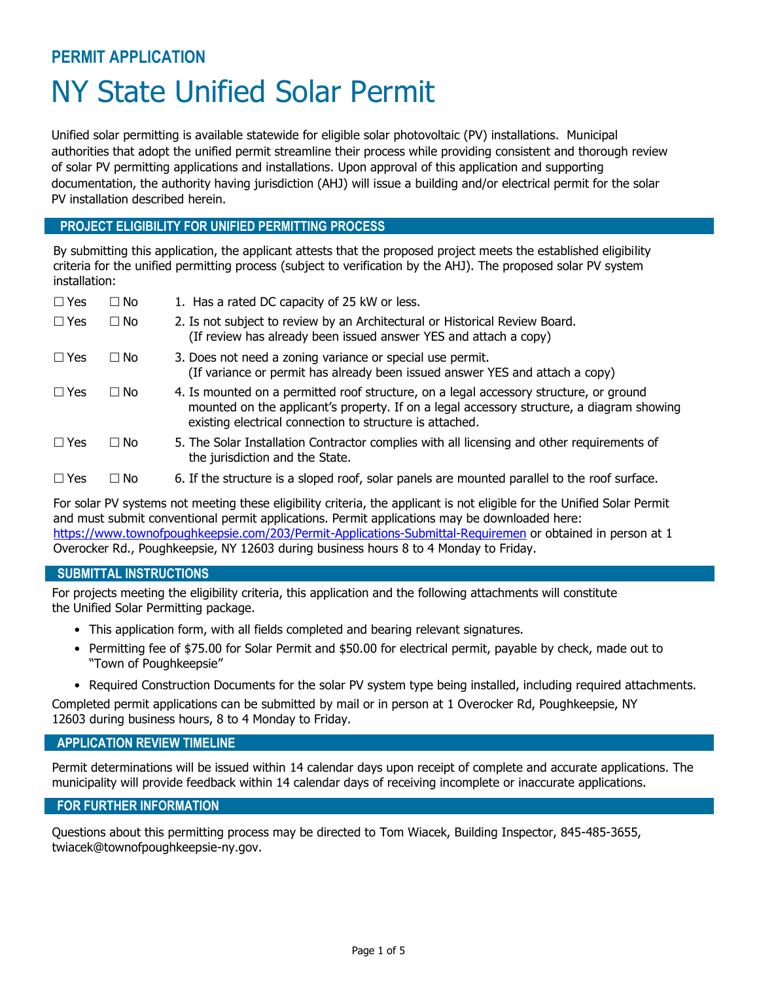# NY State Unified Solar Permit

Unified solar permitting is available statewide for eligible solar photovoltaic (PV) installations. Municipal authorities that adopt the unified permit streamline their process while providing consistent and thorough review of solar PV permitting applications and installations. Upon approval of this application and supporting documentation, the authority having jurisdiction (AHJ) will issue a building and/or electrical permit for the solar PV installation described herein.

## **PROJECT ELIGIBILITY FOR UNIFIED PERMITTING PROCESS**

By submitting this application, the applicant attests that the proposed project meets the established eligibility criteria for the unified permitting process (subject to verification by the AHJ). The proposed solar PV system installation:

| $\Box$ Yes | $\Box$ No | 1. Has a rated DC capacity of 25 kW or less.                                                                                                                                                                                                    |
|------------|-----------|-------------------------------------------------------------------------------------------------------------------------------------------------------------------------------------------------------------------------------------------------|
| $\Box$ Yes | $\Box$ No | 2. Is not subject to review by an Architectural or Historical Review Board.<br>(If review has already been issued answer YES and attach a copy)                                                                                                 |
| $\Box$ Yes | $\Box$ No | 3. Does not need a zoning variance or special use permit.<br>(If variance or permit has already been issued answer YES and attach a copy)                                                                                                       |
| $\Box$ Yes | $\Box$ No | 4. Is mounted on a permitted roof structure, on a legal accessory structure, or ground<br>mounted on the applicant's property. If on a legal accessory structure, a diagram showing<br>existing electrical connection to structure is attached. |
| $\Box$ Yes | $\Box$ No | 5. The Solar Installation Contractor complies with all licensing and other requirements of<br>the jurisdiction and the State.                                                                                                                   |
| $\Box$ Yes | $\Box$ No | 6. If the structure is a sloped roof, solar panels are mounted parallel to the roof surface.                                                                                                                                                    |
|            |           |                                                                                                                                                                                                                                                 |

For solar PV systems not meeting these eligibility criteria, the applicant is not eligible for the Unified Solar Permit and must submit conventional permit applications. Permit applications may be downloaded here: <https://www.townofpoughkeepsie.com/203/Permit-Applications-Submittal-Requiremen> or obtained in person at 1 Overocker Rd., Poughkeepsie, NY 12603 during business hours 8 to 4 Monday to Friday.

#### **SUBMITTAL INSTRUCTIONS**

For projects meeting the eligibility criteria, this application and the following attachments will constitute the Unified Solar Permitting package.

- This application form, with all fields completed and bearing relevant signatures.
- Permitting fee of \$75.00 for Solar Permit and \$50.00 for electrical permit, payable by check, made out to "Town of Poughkeepsie"
- Required Construction Documents for the solar PV system type being installed, including required attachments.

Completed permit applications can be submitted by mail or in person at 1 Overocker Rd, Poughkeepsie, NY 12603 during business hours, 8 to 4 Monday to Friday.

#### **APPLICATION REVIEW TIMELINE**

Permit determinations will be issued within 14 calendar days upon receipt of complete and accurate applications. The municipality will provide feedback within 14 calendar days of receiving incomplete or inaccurate applications.

## **FOR FURTHER INFORMATION**

Questions about this permitting process may be directed to Tom Wiacek, Building Inspector, 845-485-3655, twiacek@townofpoughkeepsie-ny.gov.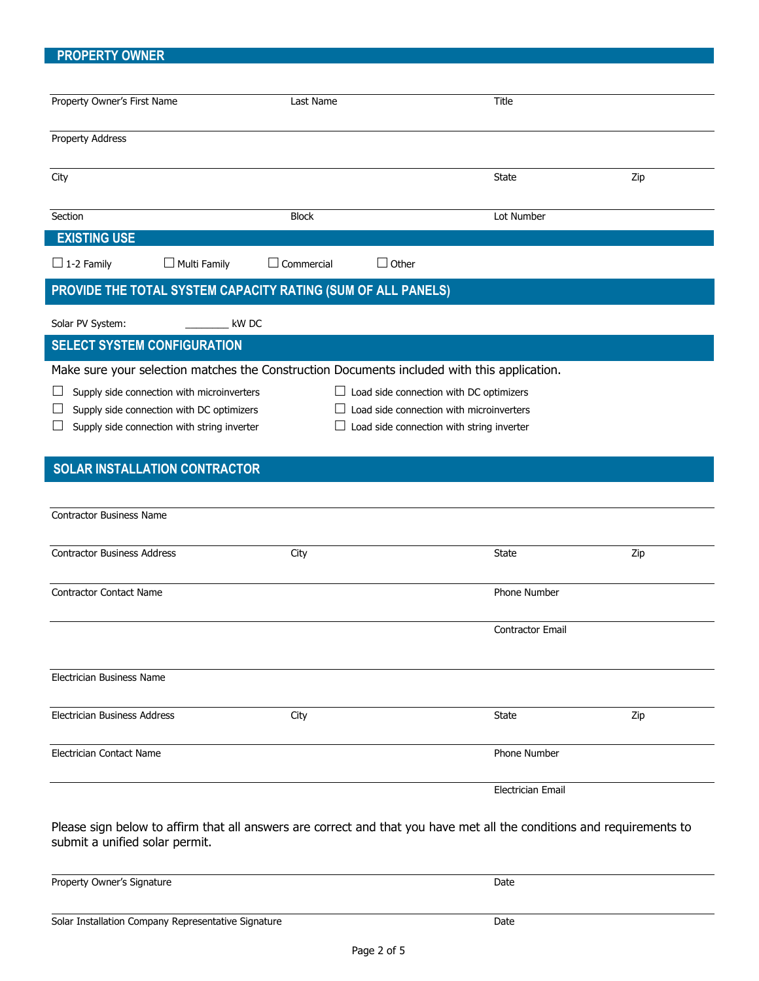## **PROPERTY OWNER**

| Property Owner's First Name                                                                 | Last Name                         | Title                                          |     |  |  |  |  |
|---------------------------------------------------------------------------------------------|-----------------------------------|------------------------------------------------|-----|--|--|--|--|
| <b>Property Address</b>                                                                     |                                   |                                                |     |  |  |  |  |
|                                                                                             |                                   |                                                |     |  |  |  |  |
| City                                                                                        |                                   | State                                          | Zip |  |  |  |  |
|                                                                                             |                                   |                                                |     |  |  |  |  |
| Section                                                                                     | <b>Block</b>                      | Lot Number                                     |     |  |  |  |  |
| <b>EXISTING USE</b>                                                                         |                                   |                                                |     |  |  |  |  |
| $\Box$ 1-2 Family<br>$\Box$ Multi Family                                                    | $\Box$ Commercial<br>$\Box$ Other |                                                |     |  |  |  |  |
| PROVIDE THE TOTAL SYSTEM CAPACITY RATING (SUM OF ALL PANELS)                                |                                   |                                                |     |  |  |  |  |
| Solar PV System:                                                                            | kW DC                             |                                                |     |  |  |  |  |
| <b>SELECT SYSTEM CONFIGURATION</b>                                                          |                                   |                                                |     |  |  |  |  |
| Make sure your selection matches the Construction Documents included with this application. |                                   |                                                |     |  |  |  |  |
| Supply side connection with microinverters<br>⊔                                             |                                   | $\Box$ Load side connection with DC optimizers |     |  |  |  |  |
| Supply side connection with DC optimizers                                                   |                                   | Load side connection with microinverters       |     |  |  |  |  |
| Supply side connection with string inverter                                                 |                                   | Load side connection with string inverter      |     |  |  |  |  |
|                                                                                             |                                   |                                                |     |  |  |  |  |
| <b>SOLAR INSTALLATION CONTRACTOR</b>                                                        |                                   |                                                |     |  |  |  |  |
|                                                                                             |                                   |                                                |     |  |  |  |  |
| <b>Contractor Business Name</b>                                                             |                                   |                                                |     |  |  |  |  |
|                                                                                             |                                   |                                                |     |  |  |  |  |
| <b>Contractor Business Address</b>                                                          | City                              | <b>State</b>                                   | Zip |  |  |  |  |
| <b>Contractor Contact Name</b>                                                              |                                   | Phone Number                                   |     |  |  |  |  |
|                                                                                             |                                   |                                                |     |  |  |  |  |
|                                                                                             |                                   | <b>Contractor Email</b>                        |     |  |  |  |  |
|                                                                                             |                                   |                                                |     |  |  |  |  |
| <b>Electrician Business Name</b>                                                            |                                   |                                                |     |  |  |  |  |
|                                                                                             |                                   |                                                |     |  |  |  |  |
| <b>Electrician Business Address</b>                                                         | City                              | State                                          | Zip |  |  |  |  |
| Electrician Contact Name                                                                    |                                   | Phone Number                                   |     |  |  |  |  |
|                                                                                             |                                   |                                                |     |  |  |  |  |
|                                                                                             |                                   | <b>Electrician Email</b>                       |     |  |  |  |  |

Please sign below to affirm that all answers are correct and that you have met all the conditions and requirements to submit a unified solar permit.

| Property Owner's Signature | Date |
|----------------------------|------|
|----------------------------|------|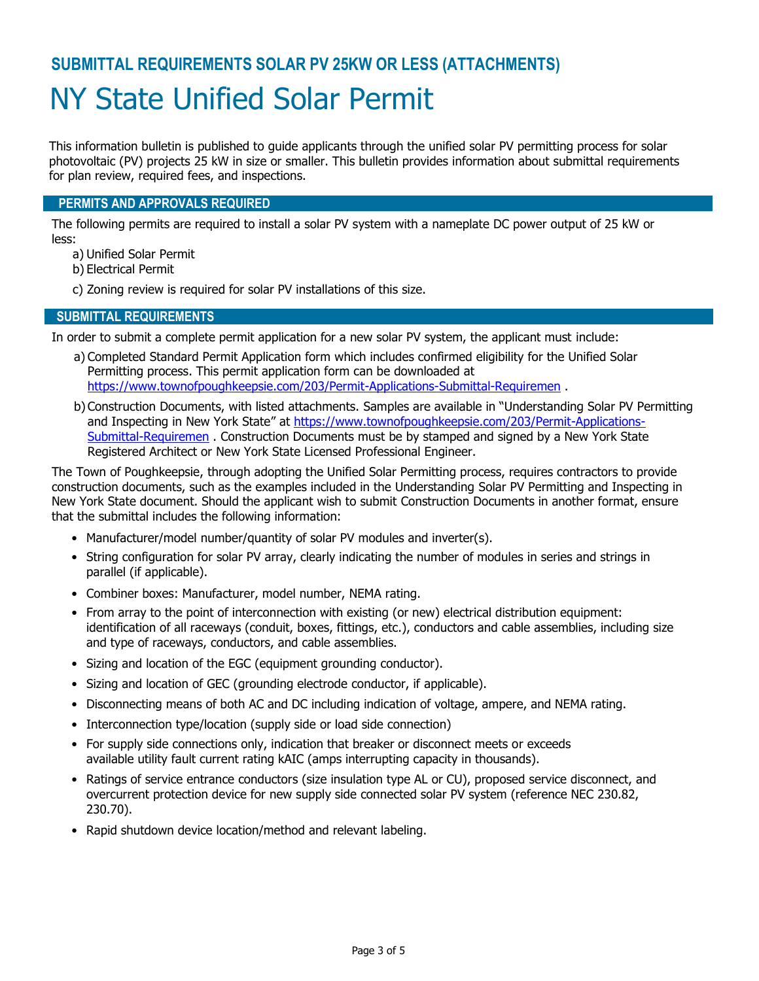## NY State Unified Solar Permit

This information bulletin is published to guide applicants through the unified solar PV permitting process for solar photovoltaic (PV) projects 25 kW in size or smaller. This bulletin provides information about submittal requirements for plan review, required fees, and inspections.

## **PERMITS AND APPROVALS REQUIRED**

The following permits are required to install a solar PV system with a nameplate DC power output of 25 kW or less:

- a) Unified Solar Permit
- b) Electrical Permit
- c) Zoning review is required for solar PV installations of this size.

#### **SUBMITTAL REQUIREMENTS**

In order to submit a complete permit application for a new solar PV system, the applicant must include:

- a) Completed Standard Permit Application form which includes confirmed eligibility for the Unified Solar Permitting process. This permit application form can be downloaded at <https://www.townofpoughkeepsie.com/203/Permit-Applications-Submittal-Requiremen> .
- b) Construction Documents, with listed attachments. Samples are available in "Understanding Solar PV Permitting and Inspecting in New York State" at [https://www.townofpoughkeepsie.com/203/Permit-Applications-](https://www.townofpoughkeepsie.com/203/Permit-Applications-Submittal-Requiremen)[Submittal-Requiremen](https://www.townofpoughkeepsie.com/203/Permit-Applications-Submittal-Requiremen) . Construction Documents must be by stamped and signed by a New York State Registered Architect or New York State Licensed Professional Engineer.

The Town of Poughkeepsie, through adopting the Unified Solar Permitting process, requires contractors to provide construction documents, such as the examples included in the Understanding Solar PV Permitting and Inspecting in New York State document. Should the applicant wish to submit Construction Documents in another format, ensure that the submittal includes the following information:

- Manufacturer/model number/quantity of solar PV modules and inverter(s).
- String configuration for solar PV array, clearly indicating the number of modules in series and strings in parallel (if applicable).
- Combiner boxes: Manufacturer, model number, NEMA rating.
- From array to the point of interconnection with existing (or new) electrical distribution equipment: identification of all raceways (conduit, boxes, fittings, etc.), conductors and cable assemblies, including size and type of raceways, conductors, and cable assemblies.
- Sizing and location of the EGC (equipment grounding conductor).
- Sizing and location of GEC (grounding electrode conductor, if applicable).
- Disconnecting means of both AC and DC including indication of voltage, ampere, and NEMA rating.
- Interconnection type/location (supply side or load side connection)
- For supply side connections only, indication that breaker or disconnect meets or exceeds available utility fault current rating kAIC (amps interrupting capacity in thousands).
- Ratings of service entrance conductors (size insulation type AL or CU), proposed service disconnect, and overcurrent protection device for new supply side connected solar PV system (reference NEC 230.82, 230.70).
- Rapid shutdown device location/method and relevant labeling.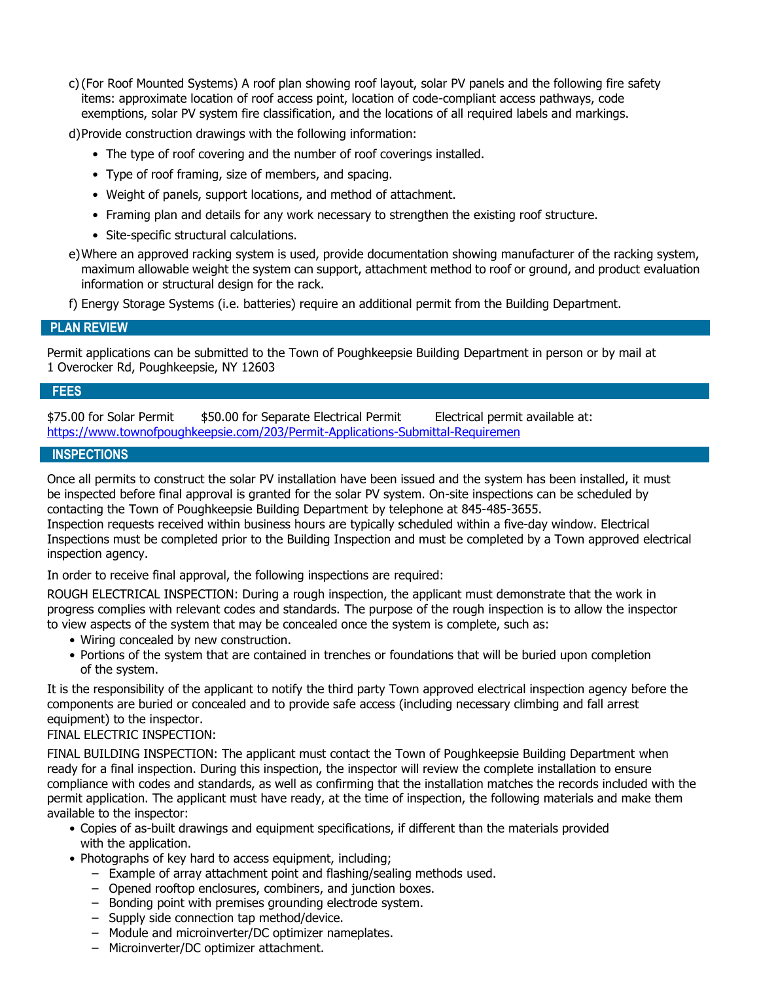c)(For Roof Mounted Systems) A roof plan showing roof layout, solar PV panels and the following fire safety items: approximate location of roof access point, location of code-compliant access pathways, code exemptions, solar PV system fire classification, and the locations of all required labels and markings.

d)Provide construction drawings with the following information:

- The type of roof covering and the number of roof coverings installed.
- Type of roof framing, size of members, and spacing.
- Weight of panels, support locations, and method of attachment.
- Framing plan and details for any work necessary to strengthen the existing roof structure.
- Site-specific structural calculations.
- e)Where an approved racking system is used, provide documentation showing manufacturer of the racking system, maximum allowable weight the system can support, attachment method to roof or ground, and product evaluation information or structural design for the rack.
- f) Energy Storage Systems (i.e. batteries) require an additional permit from the Building Department.

#### **PLAN REVIEW**

Permit applications can be submitted to the Town of Poughkeepsie Building Department in person or by mail at 1 Overocker Rd, Poughkeepsie, NY 12603

#### **FEES**

\$75.00 for Solar Permit \$50.00 for Separate Electrical Permit Electrical permit available at: <https://www.townofpoughkeepsie.com/203/Permit-Applications-Submittal-Requiremen>

#### **INSPECTIONS**

inspection agency.

Once all permits to construct the solar PV installation have been issued and the system has been installed, it must be inspected before final approval is granted for the solar PV system. On-site inspections can be scheduled by contacting the Town of Poughkeepsie Building Department by telephone at 845-485-3655. Inspection requests received within business hours are typically scheduled within a five-day window. Electrical Inspections must be completed prior to the Building Inspection and must be completed by a Town approved electrical

In order to receive final approval, the following inspections are required:

ROUGH ELECTRICAL INSPECTION: During a rough inspection, the applicant must demonstrate that the work in progress complies with relevant codes and standards. The purpose of the rough inspection is to allow the inspector to view aspects of the system that may be concealed once the system is complete, such as:

- Wiring concealed by new construction.
- Portions of the system that are contained in trenches or foundations that will be buried upon completion of the system.

It is the responsibility of the applicant to notify the third party Town approved electrical inspection agency before the components are buried or concealed and to provide safe access (including necessary climbing and fall arrest equipment) to the inspector.

## FINAL ELECTRIC INSPECTION:

FINAL BUILDING INSPECTION: The applicant must contact the Town of Poughkeepsie Building Department when ready for a final inspection. During this inspection, the inspector will review the complete installation to ensure compliance with codes and standards, as well as confirming that the installation matches the records included with the permit application. The applicant must have ready, at the time of inspection, the following materials and make them available to the inspector:

- Copies of as-built drawings and equipment specifications, if different than the materials provided with the application.
- Photographs of key hard to access equipment, including;
	- Example of array attachment point and flashing/sealing methods used.
	- Opened rooftop enclosures, combiners, and junction boxes.
	- Bonding point with premises grounding electrode system.
	- Supply side connection tap method/device.
	- Module and microinverter/DC optimizer nameplates.
	- Microinverter/DC optimizer attachment.